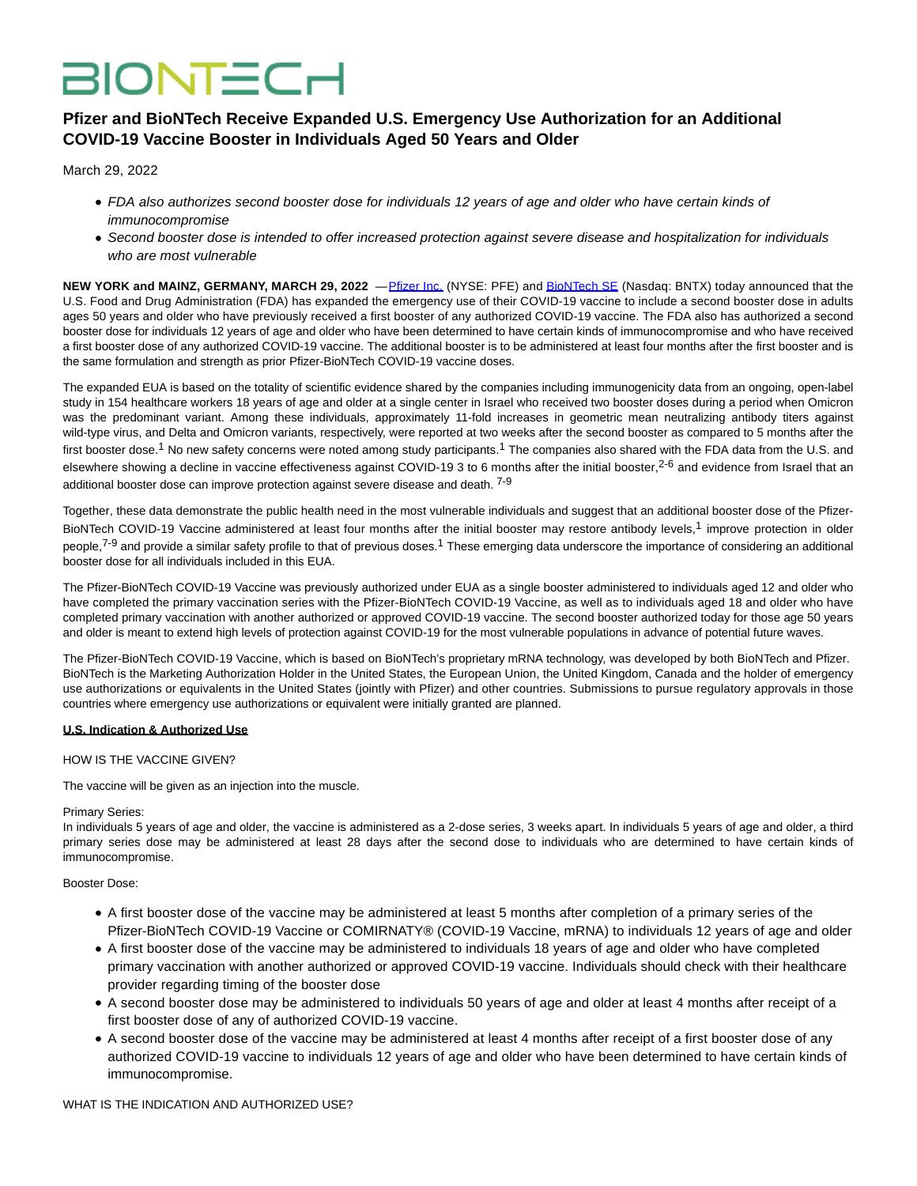# **BIONTECH**

# **Pfizer and BioNTech Receive Expanded U.S. Emergency Use Authorization for an Additional COVID-19 Vaccine Booster in Individuals Aged 50 Years and Older**

March 29, 2022

- FDA also authorizes second booster dose for individuals 12 years of age and older who have certain kinds of immunocompromise
- Second booster dose is intended to offer increased protection against severe disease and hospitalization for individuals who are most vulnerable

**NEW YORK and MAINZ, GERMANY, MARCH 29, 2022** [— Pfizer Inc. \(](https://www.globenewswire.com/Tracker?data=KIc3eYxMkQ1YrW5lhePyUKNXk59bZpf65XpENWIlNSNVTUrFPNhtqSoPyWyBpPVKaDsx1OjjmXS6HY1Yvjwfog==)NYSE: PFE) and [BioNTech SE \(](https://www.globenewswire.com/Tracker?data=dW1-lwG7B57OmzOMJ_OX9Yv2b-PV9bbEZUje3DObaHfeOEZ_5Y4nGyPI6GUsM7QVfcdTAXqvFWfBetHwejcyiQ==)Nasdaq: BNTX) today announced that the U.S. Food and Drug Administration (FDA) has expanded the emergency use of their COVID-19 vaccine to include a second booster dose in adults ages 50 years and older who have previously received a first booster of any authorized COVID-19 vaccine. The FDA also has authorized a second booster dose for individuals 12 years of age and older who have been determined to have certain kinds of immunocompromise and who have received a first booster dose of any authorized COVID-19 vaccine. The additional booster is to be administered at least four months after the first booster and is the same formulation and strength as prior Pfizer-BioNTech COVID-19 vaccine doses.

The expanded EUA is based on the totality of scientific evidence shared by the companies including immunogenicity data from an ongoing, open-label study in 154 healthcare workers 18 years of age and older at a single center in Israel who received two booster doses during a period when Omicron was the predominant variant. Among these individuals, approximately 11-fold increases in geometric mean neutralizing antibody titers against wild-type virus, and Delta and Omicron variants, respectively, were reported at two weeks after the second booster as compared to 5 months after the first booster dose.<sup>1</sup> No new safety concerns were noted among study participants.<sup>1</sup> The companies also shared with the FDA data from the U.S. and elsewhere showing a decline in vaccine effectiveness against COVID-19 3 to 6 months after the initial booster,<sup>2-6</sup> and evidence from Israel that an additional booster dose can improve protection against severe disease and death. <sup>7-9</sup>

Together, these data demonstrate the public health need in the most vulnerable individuals and suggest that an additional booster dose of the Pfizer-BioNTech COVID-19 Vaccine administered at least four months after the initial booster may restore antibody levels,<sup>1</sup> improve protection in older people,<sup>7-9</sup> and provide a similar safety profile to that of previous doses.<sup>1</sup> These emerging data underscore the importance of considering an additional booster dose for all individuals included in this EUA.

The Pfizer-BioNTech COVID-19 Vaccine was previously authorized under EUA as a single booster administered to individuals aged 12 and older who have completed the primary vaccination series with the Pfizer-BioNTech COVID-19 Vaccine, as well as to individuals aged 18 and older who have completed primary vaccination with another authorized or approved COVID-19 vaccine. The second booster authorized today for those age 50 years and older is meant to extend high levels of protection against COVID-19 for the most vulnerable populations in advance of potential future waves.

The Pfizer-BioNTech COVID-19 Vaccine, which is based on BioNTech's proprietary mRNA technology, was developed by both BioNTech and Pfizer. BioNTech is the Marketing Authorization Holder in the United States, the European Union, the United Kingdom, Canada and the holder of emergency use authorizations or equivalents in the United States (jointly with Pfizer) and other countries. Submissions to pursue regulatory approvals in those countries where emergency use authorizations or equivalent were initially granted are planned.

# **U.S. Indication & Authorized Use**

# HOW IS THE VACCINE GIVEN?

The vaccine will be given as an injection into the muscle.

#### Primary Series:

In individuals 5 years of age and older, the vaccine is administered as a 2-dose series, 3 weeks apart. In individuals 5 years of age and older, a third primary series dose may be administered at least 28 days after the second dose to individuals who are determined to have certain kinds of immunocompromise.

Booster Dose:

- A first booster dose of the vaccine may be administered at least 5 months after completion of a primary series of the Pfizer-BioNTech COVID-19 Vaccine or COMIRNATY® (COVID-19 Vaccine, mRNA) to individuals 12 years of age and older
- A first booster dose of the vaccine may be administered to individuals 18 years of age and older who have completed primary vaccination with another authorized or approved COVID-19 vaccine. Individuals should check with their healthcare provider regarding timing of the booster dose
- A second booster dose may be administered to individuals 50 years of age and older at least 4 months after receipt of a first booster dose of any of authorized COVID-19 vaccine.
- A second booster dose of the vaccine may be administered at least 4 months after receipt of a first booster dose of any authorized COVID-19 vaccine to individuals 12 years of age and older who have been determined to have certain kinds of immunocompromise.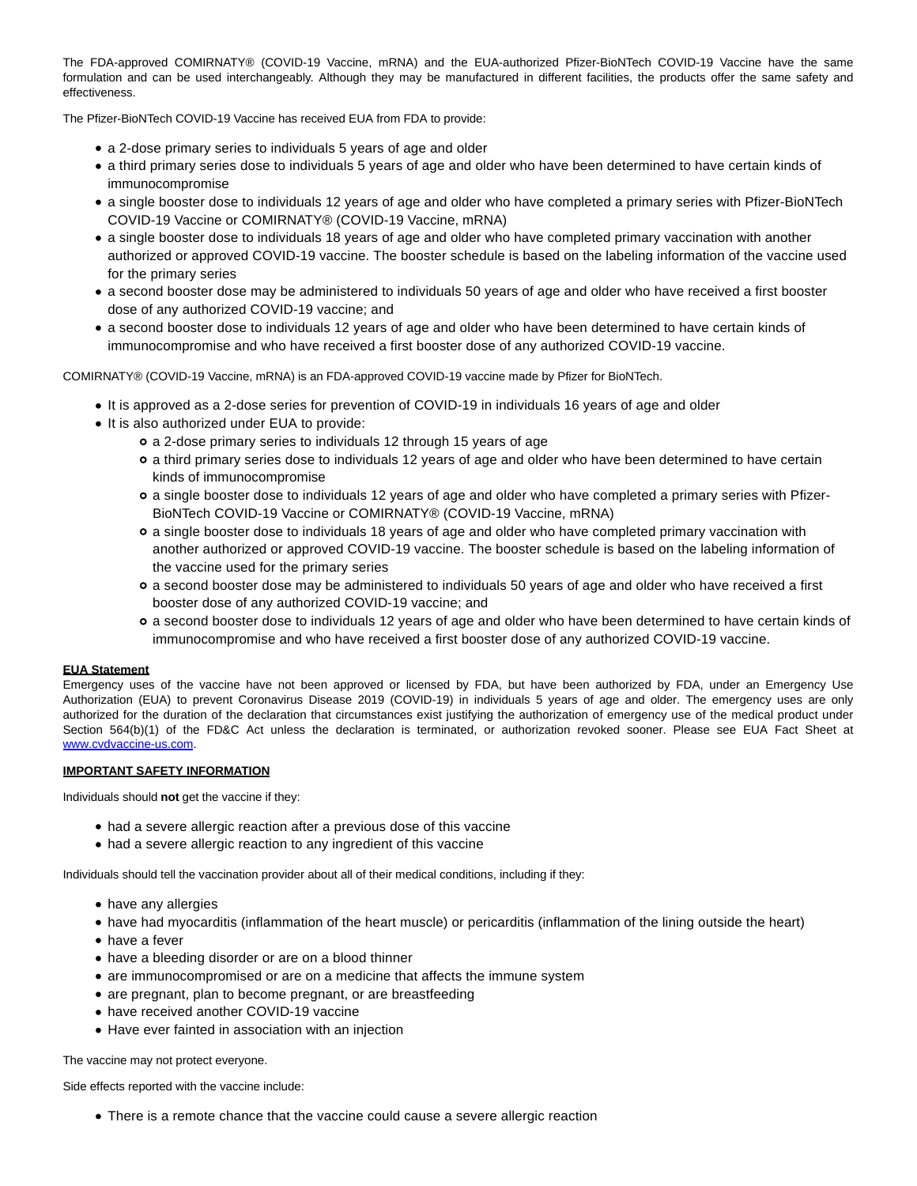The FDA-approved COMIRNATY® (COVID-19 Vaccine, mRNA) and the EUA-authorized Pfizer-BioNTech COVID-19 Vaccine have the same formulation and can be used interchangeably. Although they may be manufactured in different facilities, the products offer the same safety and effectiveness.

The Pfizer-BioNTech COVID-19 Vaccine has received EUA from FDA to provide:

- a 2-dose primary series to individuals 5 years of age and older
- a third primary series dose to individuals 5 years of age and older who have been determined to have certain kinds of immunocompromise
- a single booster dose to individuals 12 years of age and older who have completed a primary series with Pfizer-BioNTech COVID-19 Vaccine or COMIRNATY® (COVID-19 Vaccine, mRNA)
- a single booster dose to individuals 18 years of age and older who have completed primary vaccination with another authorized or approved COVID-19 vaccine. The booster schedule is based on the labeling information of the vaccine used for the primary series
- a second booster dose may be administered to individuals 50 years of age and older who have received a first booster dose of any authorized COVID-19 vaccine; and
- a second booster dose to individuals 12 years of age and older who have been determined to have certain kinds of immunocompromise and who have received a first booster dose of any authorized COVID-19 vaccine.

COMIRNATY® (COVID-19 Vaccine, mRNA) is an FDA-approved COVID-19 vaccine made by Pfizer for BioNTech.

- It is approved as a 2-dose series for prevention of COVID-19 in individuals 16 years of age and older
- It is also authorized under EUA to provide:
	- a 2-dose primary series to individuals 12 through 15 years of age
	- a third primary series dose to individuals 12 years of age and older who have been determined to have certain kinds of immunocompromise
	- a single booster dose to individuals 12 years of age and older who have completed a primary series with Pfizer-BioNTech COVID-19 Vaccine or COMIRNATY® (COVID-19 Vaccine, mRNA)
	- a single booster dose to individuals 18 years of age and older who have completed primary vaccination with another authorized or approved COVID-19 vaccine. The booster schedule is based on the labeling information of the vaccine used for the primary series
	- a second booster dose may be administered to individuals 50 years of age and older who have received a first booster dose of any authorized COVID-19 vaccine; and
	- a second booster dose to individuals 12 years of age and older who have been determined to have certain kinds of immunocompromise and who have received a first booster dose of any authorized COVID-19 vaccine.

#### **EUA Statement**

Emergency uses of the vaccine have not been approved or licensed by FDA, but have been authorized by FDA, under an Emergency Use Authorization (EUA) to prevent Coronavirus Disease 2019 (COVID-19) in individuals 5 years of age and older. The emergency uses are only authorized for the duration of the declaration that circumstances exist justifying the authorization of emergency use of the medical product under Section 564(b)(1) of the FD&C Act unless the declaration is terminated, or authorization revoked sooner. Please see EUA Fact Sheet at [www.cvdvaccine-us.com.](https://www.globenewswire.com/Tracker?data=puzbemEp4M001ErFORIfShi-u6qAQusUV3rgFXeMDns9en71c0magsLvClpLThtbmiay0k20V8TpnfFa7RpDJYlwP1OvVkSUofc3eeG_aqc=)

#### **IMPORTANT SAFETY INFORMATION**

Individuals should **not** get the vaccine if they:

- had a severe allergic reaction after a previous dose of this vaccine
- had a severe allergic reaction to any ingredient of this vaccine

Individuals should tell the vaccination provider about all of their medical conditions, including if they:

- have any allergies
- have had myocarditis (inflammation of the heart muscle) or pericarditis (inflammation of the lining outside the heart)
- have a fever
- have a bleeding disorder or are on a blood thinner
- are immunocompromised or are on a medicine that affects the immune system
- are pregnant, plan to become pregnant, or are breastfeeding
- have received another COVID-19 vaccine
- Have ever fainted in association with an injection

The vaccine may not protect everyone.

Side effects reported with the vaccine include:

• There is a remote chance that the vaccine could cause a severe allergic reaction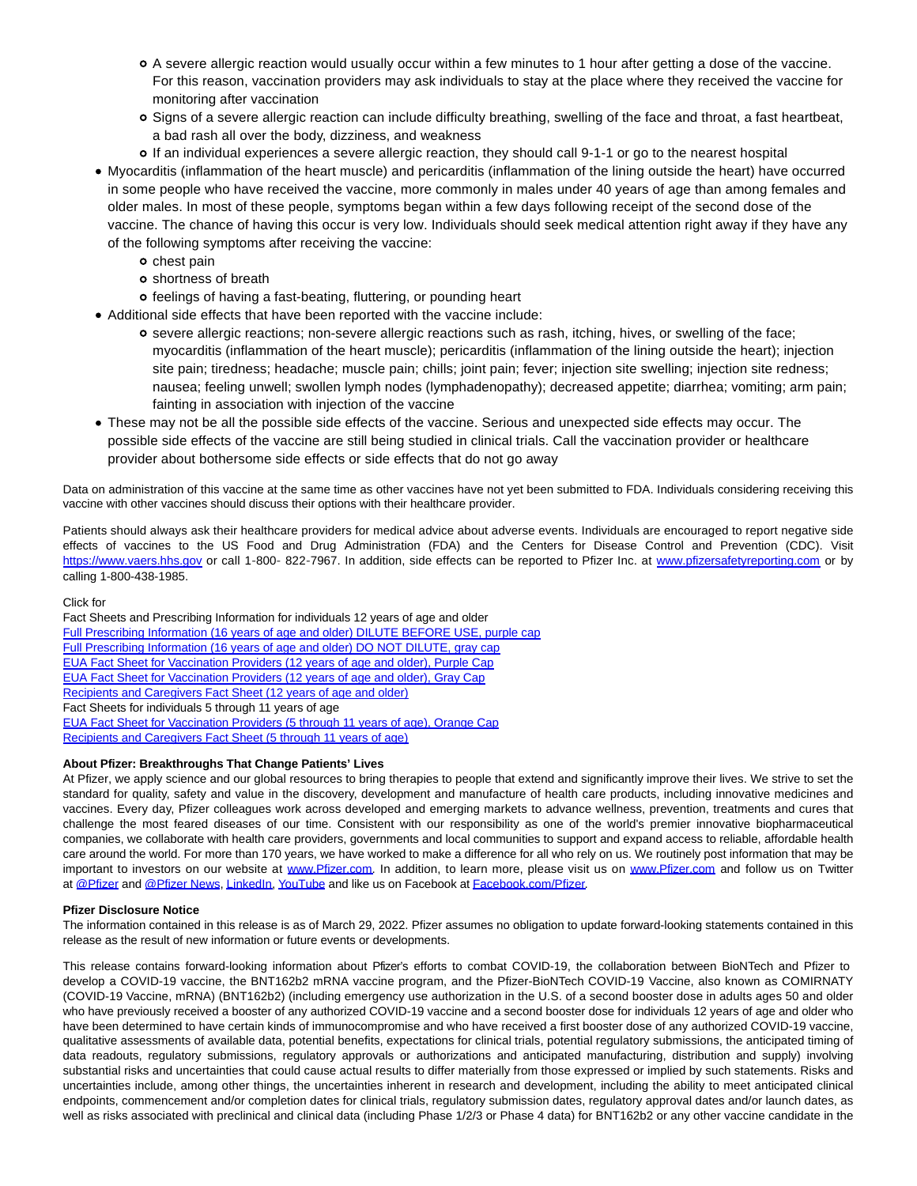- A severe allergic reaction would usually occur within a few minutes to 1 hour after getting a dose of the vaccine. For this reason, vaccination providers may ask individuals to stay at the place where they received the vaccine for monitoring after vaccination
- o Signs of a severe allergic reaction can include difficulty breathing, swelling of the face and throat, a fast heartbeat, a bad rash all over the body, dizziness, and weakness
- If an individual experiences a severe allergic reaction, they should call 9-1-1 or go to the nearest hospital
- Myocarditis (inflammation of the heart muscle) and pericarditis (inflammation of the lining outside the heart) have occurred in some people who have received the vaccine, more commonly in males under 40 years of age than among females and older males. In most of these people, symptoms began within a few days following receipt of the second dose of the vaccine. The chance of having this occur is very low. Individuals should seek medical attention right away if they have any of the following symptoms after receiving the vaccine:
	- o chest pain
	- o shortness of breath
	- o feelings of having a fast-beating, fluttering, or pounding heart
- Additional side effects that have been reported with the vaccine include:
	- severe allergic reactions; non-severe allergic reactions such as rash, itching, hives, or swelling of the face; myocarditis (inflammation of the heart muscle); pericarditis (inflammation of the lining outside the heart); injection site pain; tiredness; headache; muscle pain; chills; joint pain; fever; injection site swelling; injection site redness; nausea; feeling unwell; swollen lymph nodes (lymphadenopathy); decreased appetite; diarrhea; vomiting; arm pain; fainting in association with injection of the vaccine
- These may not be all the possible side effects of the vaccine. Serious and unexpected side effects may occur. The possible side effects of the vaccine are still being studied in clinical trials. Call the vaccination provider or healthcare provider about bothersome side effects or side effects that do not go away

Data on administration of this vaccine at the same time as other vaccines have not yet been submitted to FDA. Individuals considering receiving this vaccine with other vaccines should discuss their options with their healthcare provider.

Patients should always ask their healthcare providers for medical advice about adverse events. Individuals are encouraged to report negative side effects of vaccines to the US Food and Drug Administration (FDA) and the Centers for Disease Control and Prevention (CDC). Visit [https://www.vaers.hhs.gov o](https://www.globenewswire.com/Tracker?data=CThGNYuDocVGGFt0WNKeQBciyN5bNk8p5BGSJKyDrD2hSDlngGUO8FuINaHZgCY4M7oV6iiJpshU61oHiER-cGIfiut44FFmAiTs4-3uc5k=)r call 1-800- 822-7967. In addition, side effects can be reported to Pfizer Inc. at [www.pfizersafetyreporting.com o](https://www.globenewswire.com/Tracker?data=puzbemEp4M001ErFORIfSiGd7NCb9EdhEHxEyNW2jMzUvAD_BdofR869no9SqF_QelL3zvu_ID6WdCjawN5IMtSaeKIVBTg5Q1IgtcoQTjtKFD8elTA8E9roqbNHAH6h)r by calling 1-800-438-1985.

Click for

Fact Sheets and Prescribing Information for individuals 12 years of age and older [Full Prescribing Information \(16 years of age and older\) DILUTE BEFORE USE, purple cap](https://www.globenewswire.com/Tracker?data=mxL2fmYqMrJkOhFYDmE0sEiXPL6rQ6d369SPr9TgChzCOcj7qi7jJNfJY_qTlbWzYQ680_0WAwyMUvrepexJJNGUJwy2yX_lJARjOoZ4iQWaEDyJObJAqeNJX74S13sFSry3TcJqd1AbbzEB4FXqyGWmN37sRfCw98t-GwQ3XdJMgTCbu40EVEO3hieRxe_nggyCZomHA_3biP8_MhmhjRsRFXTROtdcm3SwpjsKh9Y=) [Full Prescribing Information \(16 years of age and older\) DO NOT DILUTE, gray cap](https://www.globenewswire.com/Tracker?data=mxL2fmYqMrJkOhFYDmE0sEiXPL6rQ6d369SPr9TgChzCOcj7qi7jJNfJY_qTlbWzYQ680_0WAwyMUvrepexJJD848PO4VbDt9BMj8bvc9KrtWfczSOn0BJCE6e_pO1FHa0--vbeOzAo2dNj8pzjwJNkq3rYTBUge_65PpTDG-sjtBpGb9Y2cZ78gKOL2fX6Exe-cPmU7r_yBOu3O2wJLGD15Uy_QXGaNFKF9nUFTQmU=) [EUA Fact Sheet for Vaccination Providers \(12 years of age and older\), Purple Cap](https://www.globenewswire.com/Tracker?data=_cTNma036Ob1vcs1c4M8z_43-NlnvAcR_H36mi1EmbtF3W4hHDLnaZ5-GLJN_X2bkSRQuYnUCj-mi7_XRNk4r1J9u2qNiBg4n3NLBqnjIYAtO_1_h8f_8lIxJAihl5NJo-mSg-474hePpXWBDfJlsaMnr_D-mD_C9hHk688Nfj7TqXjKtdsmWTTlWdrq-rdveh1PmfyzIbmTzsTbDVIwxHgLV9yVTzYfFnQltaYZvn0=) [EUA Fact Sheet for Vaccination Providers \(12 years of age and older\), Gray Cap](https://www.globenewswire.com/Tracker?data=_cTNma036Ob1vcs1c4M8z_43-NlnvAcR_H36mi1EmbtF3W4hHDLnaZ5-GLJN_X2bkSRQuYnUCj-mi7_XRNk4r1J9u2qNiBg4n3NLBqnjIYDVJBUowErOq5KnpNLTsby0nKdHrcvqdM5zdzgj68h7ApI38VJnWEe8iH87UvC7z0U8A0LQSUy0PvUr6oAmF-pvgVikU4rn-wAH1hX-6Waxu6f48KZ3orFqPIH4QzMZhcM=) [Recipients and Caregivers Fact Sheet \(12 years of age and older\)](https://www.globenewswire.com/Tracker?data=Gmm8bGreiJLyQXSFAZH9J2NB2JaoXFSoUNHZYOsbORWsxTmAoiabK8U1jdqwiHFM1a8VpzHrzKr-6K_63qW5IGBdyVGmk6qCRo6WtekMu1VCLlafTmNLSwHFpcbcc3HY81x6RR9U_rU4n6EgmVU_zLBkkfqVNCXVeaqHZWKThJkTHZzeJKCPCfowL2Dpre3dpRAmNtrLmZkRV4owRhWzZg==) Fact Sheets for individuals 5 through 11 years of age [EUA Fact Sheet for Vaccination Providers \(5 through 11 years of age\), Orange Cap](https://www.globenewswire.com/Tracker?data=_cTNma036Ob1vcs1c4M8z_43-NlnvAcR_H36mi1EmbtF3W4hHDLnaZ5-GLJN_X2bLH1A7Lh7pF5yzNfmOUnBJJcqpYMmo98wbYaCUj6KTgHDDXP6W1bmJOwgTF1baKyaV6GFKgL-VFsk4aqZ247bcdJJ8nxh-GG5Gn_R_hChbpXM8qYXZAqX27IkAQeREMD222bZtL6ITB1vbmx-aB4WTrRKIxqAXnKhvqAPIiw8gWY=) [Recipients and Caregivers Fact Sheet \(5 through 11 years of age\)](https://www.globenewswire.com/Tracker?data=Gmm8bGreiJLyQXSFAZH9J2NB2JaoXFSoUNHZYOsbORWsxTmAoiabK8U1jdqwiHFM8qphgHfeAtv47HCuIq1JDR2stGWj2nM7ZIi-dQPfKO0jQNiLlNUWWitizp-UgMMbJZIxX6nYYVp2AKO3FvD_NRwyOzHyEo41QPCJqhEUxg8RNGYA8ZLu2QQHLgp5H92UEmmuT-AXdsiHdPwE6VaJ0w==)

# **About Pfizer: Breakthroughs That Change Patients' Lives**

At Pfizer, we apply science and our global resources to bring therapies to people that extend and significantly improve their lives. We strive to set the standard for quality, safety and value in the discovery, development and manufacture of health care products, including innovative medicines and vaccines. Every day, Pfizer colleagues work across developed and emerging markets to advance wellness, prevention, treatments and cures that challenge the most feared diseases of our time. Consistent with our responsibility as one of the world's premier innovative biopharmaceutical companies, we collaborate with health care providers, governments and local communities to support and expand access to reliable, affordable health care around the world. For more than 170 years, we have worked to make a difference for all who rely on us. We routinely post information that may be important to investors on our website at [www.Pfizer.com.](https://www.globenewswire.com/Tracker?data=puzbemEp4M001ErFORIfSqERlPmxbgdst7iBXleoCqxtoWWseklFXp4Ue3oe-6EKKI1mIo1x0wAkAP_wfu1HsA==) In addition, to learn more, please visit us on [www.Pfizer.com](https://www.globenewswire.com/Tracker?data=puzbemEp4M001ErFORIfSmGG9BXjmDa9rDj41HQjyMSZr00nHzWGCJBgTO_oprcnWbGTQljRGl02o_gxFldqgw==) and follow us on Twitter at [@Pfizer a](https://www.globenewswire.com/Tracker?data=QXLjBgZjneTLsk3FomoAL5uNctUOtgGZMKngKGPRUcIH6APqTHopgs4Gysg9RXeGJ1km0SBZyTIGM2Lm3bmVOQ==)nd [@Pfizer News,](https://www.globenewswire.com/Tracker?data=QXLjBgZjneTLsk3FomoAL7ep-IssP31v6e8tGfjwk_POrxICJzfiaAIFyVn_v0b7P2FVP2sOK_mLmodhTP3iz-EvMrJsVhHaPAyBOje0-Zw=) [LinkedIn,](https://www.globenewswire.com/Tracker?data=HyNOA3aAfLJH7XHPq_b9Gv79TWVROufliNyHcExVkgjR5sjJvpVQOSS6usCf_Xz8xk9QEI3XWPhx-uKMXwvMooSqR2vGtoJ7h3NOQ-GER2c=) [YouTube a](https://www.globenewswire.com/Tracker?data=MaFnHyOntu3mMFtoXYuNTnxZay3F5clGN-uWbCMLJXtnTjgetw7Ohh_5JZxcirkUoBvVE7hZzFlo4HmcBwluxQ==)nd like us on Facebook at [Facebook.com/Pfizer.](https://www.globenewswire.com/Tracker?data=LdEd2_SUOrvIQvqZtCBPktZrJv6PX1mltAvVuqnBfa1YQGdDBkNsQgBlYttuWzu5MI5eKnnx8lJQ0jfmXHYR991StE_pNWdGilFsyx1E4E8=)

#### **Pfizer Disclosure Notice**

The information contained in this release is as of March 29, 2022. Pfizer assumes no obligation to update forward-looking statements contained in this release as the result of new information or future events or developments.

This release contains forward-looking information about Pfizer's efforts to combat COVID-19, the collaboration between BioNTech and Pfizer to develop a COVID-19 vaccine, the BNT162b2 mRNA vaccine program, and the Pfizer-BioNTech COVID-19 Vaccine, also known as COMIRNATY (COVID-19 Vaccine, mRNA) (BNT162b2) (including emergency use authorization in the U.S. of a second booster dose in adults ages 50 and older who have previously received a booster of any authorized COVID-19 vaccine and a second booster dose for individuals 12 years of age and older who have been determined to have certain kinds of immunocompromise and who have received a first booster dose of any authorized COVID-19 vaccine, qualitative assessments of available data, potential benefits, expectations for clinical trials, potential regulatory submissions, the anticipated timing of data readouts, regulatory submissions, regulatory approvals or authorizations and anticipated manufacturing, distribution and supply) involving substantial risks and uncertainties that could cause actual results to differ materially from those expressed or implied by such statements. Risks and uncertainties include, among other things, the uncertainties inherent in research and development, including the ability to meet anticipated clinical endpoints, commencement and/or completion dates for clinical trials, regulatory submission dates, regulatory approval dates and/or launch dates, as well as risks associated with preclinical and clinical data (including Phase 1/2/3 or Phase 4 data) for BNT162b2 or any other vaccine candidate in the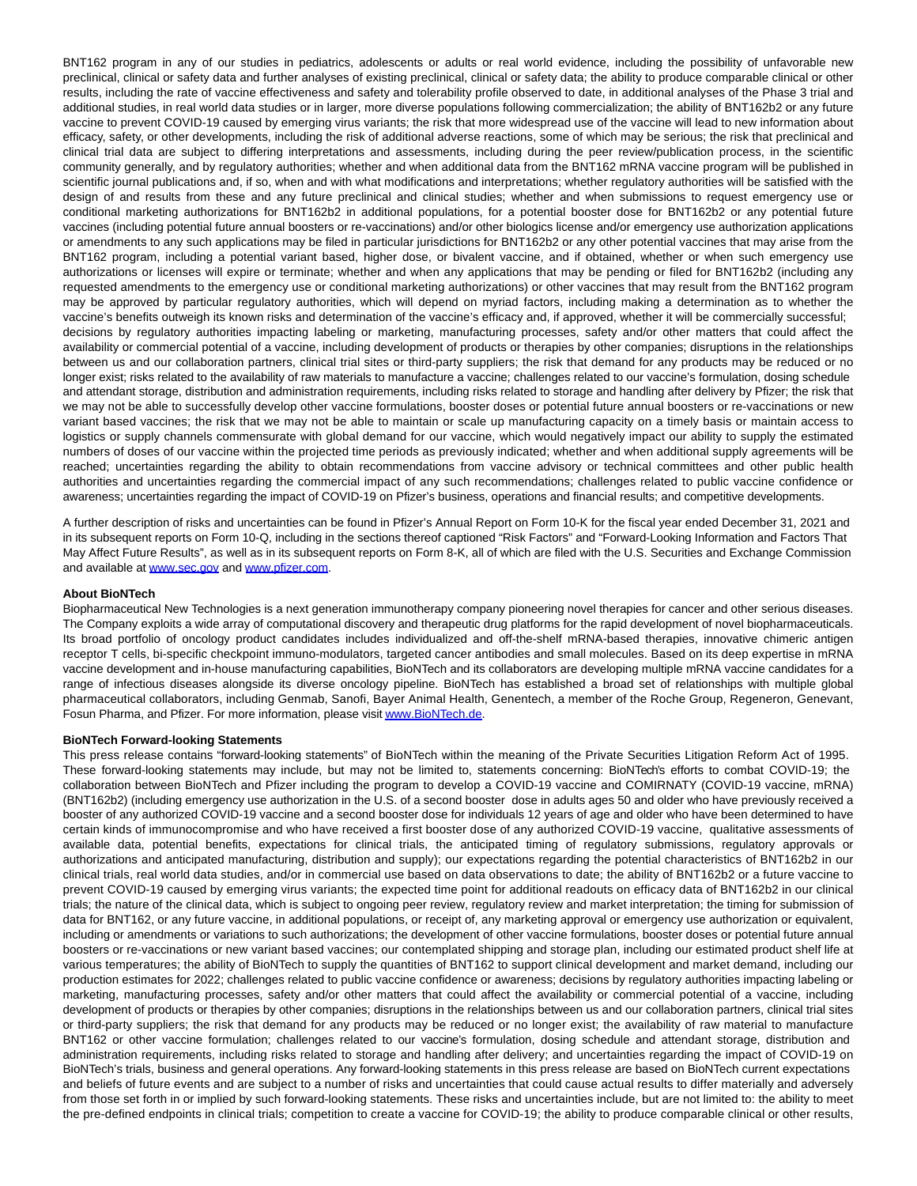BNT162 program in any of our studies in pediatrics, adolescents or adults or real world evidence, including the possibility of unfavorable new preclinical, clinical or safety data and further analyses of existing preclinical, clinical or safety data; the ability to produce comparable clinical or other results, including the rate of vaccine effectiveness and safety and tolerability profile observed to date, in additional analyses of the Phase 3 trial and additional studies, in real world data studies or in larger, more diverse populations following commercialization; the ability of BNT162b2 or any future vaccine to prevent COVID-19 caused by emerging virus variants; the risk that more widespread use of the vaccine will lead to new information about efficacy, safety, or other developments, including the risk of additional adverse reactions, some of which may be serious; the risk that preclinical and clinical trial data are subject to differing interpretations and assessments, including during the peer review/publication process, in the scientific community generally, and by regulatory authorities; whether and when additional data from the BNT162 mRNA vaccine program will be published in scientific journal publications and, if so, when and with what modifications and interpretations; whether regulatory authorities will be satisfied with the design of and results from these and any future preclinical and clinical studies; whether and when submissions to request emergency use or conditional marketing authorizations for BNT162b2 in additional populations, for a potential booster dose for BNT162b2 or any potential future vaccines (including potential future annual boosters or re-vaccinations) and/or other biologics license and/or emergency use authorization applications or amendments to any such applications may be filed in particular jurisdictions for BNT162b2 or any other potential vaccines that may arise from the BNT162 program, including a potential variant based, higher dose, or bivalent vaccine, and if obtained, whether or when such emergency use authorizations or licenses will expire or terminate; whether and when any applications that may be pending or filed for BNT162b2 (including any requested amendments to the emergency use or conditional marketing authorizations) or other vaccines that may result from the BNT162 program may be approved by particular regulatory authorities, which will depend on myriad factors, including making a determination as to whether the vaccine's benefits outweigh its known risks and determination of the vaccine's efficacy and, if approved, whether it will be commercially successful; decisions by regulatory authorities impacting labeling or marketing, manufacturing processes, safety and/or other matters that could affect the availability or commercial potential of a vaccine, including development of products or therapies by other companies; disruptions in the relationships between us and our collaboration partners, clinical trial sites or third-party suppliers; the risk that demand for any products may be reduced or no longer exist; risks related to the availability of raw materials to manufacture a vaccine; challenges related to our vaccine's formulation, dosing schedule and attendant storage, distribution and administration requirements, including risks related to storage and handling after delivery by Pfizer; the risk that we may not be able to successfully develop other vaccine formulations, booster doses or potential future annual boosters or re-vaccinations or new variant based vaccines; the risk that we may not be able to maintain or scale up manufacturing capacity on a timely basis or maintain access to logistics or supply channels commensurate with global demand for our vaccine, which would negatively impact our ability to supply the estimated numbers of doses of our vaccine within the projected time periods as previously indicated; whether and when additional supply agreements will be reached; uncertainties regarding the ability to obtain recommendations from vaccine advisory or technical committees and other public health authorities and uncertainties regarding the commercial impact of any such recommendations; challenges related to public vaccine confidence or awareness; uncertainties regarding the impact of COVID-19 on Pfizer's business, operations and financial results; and competitive developments.

A further description of risks and uncertainties can be found in Pfizer's Annual Report on Form 10-K for the fiscal year ended December 31, 2021 and in its subsequent reports on Form 10-Q, including in the sections thereof captioned "Risk Factors" and "Forward-Looking Information and Factors That May Affect Future Results", as well as in its subsequent reports on Form 8-K, all of which are filed with the U.S. Securities and Exchange Commission and available at [www.sec.gov a](https://www.globenewswire.com/Tracker?data=puzbemEp4M001ErFORIfSqlEauXhgGYfA2aS4E2WUVPWPaL8EVmHZOTsHbQM0DJJ9BZGkS5Uh8ETvD_OBCZkfw==)nd [www.pfizer.com.](https://www.globenewswire.com/Tracker?data=puzbemEp4M001ErFORIfSsfPKYifqNXQ8Hp6ORgOhSjkDzZUCM-D8TNWiSlalsboxOC5P-bRfcHFzHlZ1lS3Zw==)

#### **About BioNTech**

Biopharmaceutical New Technologies is a next generation immunotherapy company pioneering novel therapies for cancer and other serious diseases. The Company exploits a wide array of computational discovery and therapeutic drug platforms for the rapid development of novel biopharmaceuticals. Its broad portfolio of oncology product candidates includes individualized and off-the-shelf mRNA-based therapies, innovative chimeric antigen receptor T cells, bi-specific checkpoint immuno-modulators, targeted cancer antibodies and small molecules. Based on its deep expertise in mRNA vaccine development and in-house manufacturing capabilities, BioNTech and its collaborators are developing multiple mRNA vaccine candidates for a range of infectious diseases alongside its diverse oncology pipeline. BioNTech has established a broad set of relationships with multiple global pharmaceutical collaborators, including Genmab, Sanofi, Bayer Animal Health, Genentech, a member of the Roche Group, Regeneron, Genevant, Fosun Pharma, and Pfizer. For more information, please visi[t www.BioNTech.de.](https://www.globenewswire.com/Tracker?data=puzbemEp4M001ErFORIfShufA7cugqhZbe7dGftnRRBv3Pg8L0aA3CcSruhkNZX-hmj7TRoU4bf-Ro18iwqubg==)

#### **BioNTech Forward-looking Statements**

This press release contains "forward-looking statements" of BioNTech within the meaning of the Private Securities Litigation Reform Act of 1995. These forward-looking statements may include, but may not be limited to, statements concerning: BioNTech's efforts to combat COVID-19; the collaboration between BioNTech and Pfizer including the program to develop a COVID-19 vaccine and COMIRNATY (COVID-19 vaccine, mRNA) (BNT162b2) (including emergency use authorization in the U.S. of a second booster dose in adults ages 50 and older who have previously received a booster of any authorized COVID-19 vaccine and a second booster dose for individuals 12 years of age and older who have been determined to have certain kinds of immunocompromise and who have received a first booster dose of any authorized COVID-19 vaccine, qualitative assessments of available data, potential benefits, expectations for clinical trials, the anticipated timing of regulatory submissions, regulatory approvals or authorizations and anticipated manufacturing, distribution and supply); our expectations regarding the potential characteristics of BNT162b2 in our clinical trials, real world data studies, and/or in commercial use based on data observations to date; the ability of BNT162b2 or a future vaccine to prevent COVID-19 caused by emerging virus variants; the expected time point for additional readouts on efficacy data of BNT162b2 in our clinical trials; the nature of the clinical data, which is subject to ongoing peer review, regulatory review and market interpretation; the timing for submission of data for BNT162, or any future vaccine, in additional populations, or receipt of, any marketing approval or emergency use authorization or equivalent, including or amendments or variations to such authorizations; the development of other vaccine formulations, booster doses or potential future annual boosters or re-vaccinations or new variant based vaccines; our contemplated shipping and storage plan, including our estimated product shelf life at various temperatures; the ability of BioNTech to supply the quantities of BNT162 to support clinical development and market demand, including our production estimates for 2022; challenges related to public vaccine confidence or awareness; decisions by regulatory authorities impacting labeling or marketing, manufacturing processes, safety and/or other matters that could affect the availability or commercial potential of a vaccine, including development of products or therapies by other companies; disruptions in the relationships between us and our collaboration partners, clinical trial sites or third-party suppliers; the risk that demand for any products may be reduced or no longer exist; the availability of raw material to manufacture BNT162 or other vaccine formulation; challenges related to our vaccine's formulation, dosing schedule and attendant storage, distribution and administration requirements, including risks related to storage and handling after delivery; and uncertainties regarding the impact of COVID-19 on BioNTech's trials, business and general operations. Any forward-looking statements in this press release are based on BioNTech current expectations and beliefs of future events and are subject to a number of risks and uncertainties that could cause actual results to differ materially and adversely from those set forth in or implied by such forward-looking statements. These risks and uncertainties include, but are not limited to: the ability to meet the pre-defined endpoints in clinical trials; competition to create a vaccine for COVID-19; the ability to produce comparable clinical or other results,